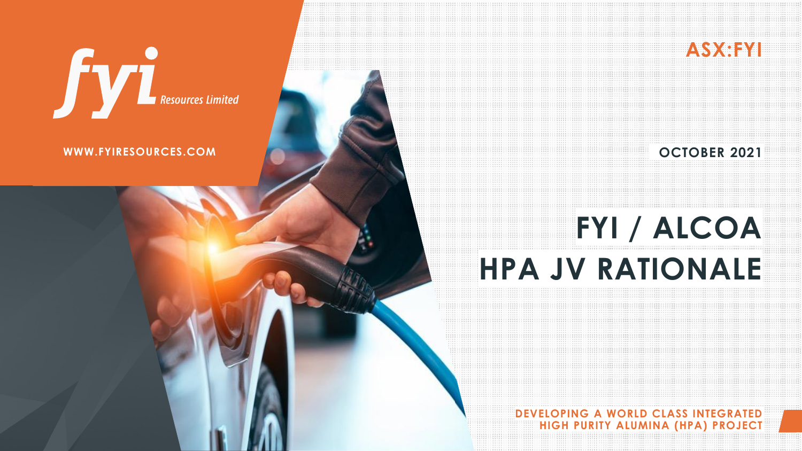**DEVELOPING A WORLD CLASS INTEGRATED HIGH PURITY ALUMINA (HPA) PROJECT**

# **Sylves Resources Limited**

#### **WWW.FYIRESOURCES.COM COMERCES AND SERVICE SERVICES OCTOBER 2021**

# **FYI / ALCOA HPA JV RATIONALE**

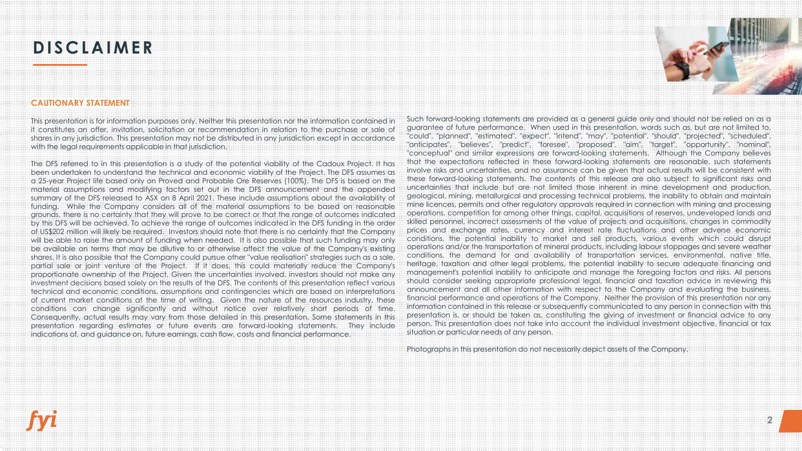### **DISCLAIMER**



#### **CAUTIONARY STATEMENT**

This presentation is for information purposes only. Neither this presentation nor the information contained in it constitutes an offer, invitation, solicitation or recommendation in relation to the purchase or sale of shares in any jurisdiction. This presentation may not be distributed in any jurisdiction except in accordance with the legal requirements applicable in that jurisdiction.

The DFS referred to in this presentation is a study of the potential viability of the Cadoux Project. It has been undertaken to understand the technical and economic viability of the Project. The DFS assumes as a 25-year Project life based only on Proved and Probable Ore Reserves (100%). The DFS is based on the material assumptions and modifying factors set out in the DFS announcement and the appended summary of the DFS released to ASX on 8 April 2021. These include assumptions about the availability of funding. While the Company considers all of the material assumptions to be based on reasonable grounds, there is no certainty that they will prove to be correct or that the range of outcomes indicated by this DFS will be achieved. To achieve the range of outcomes indicated in the DFS funding in the order of US\$202 million will likely be required. Investors should note that there is no certainty that the Company will be able to raise the amount of funding when needed. It is also possible that such funding may only be available on terms that may be dilutive to or otherwise affect the value of the Company's existing shares. It is also possible that the Company could pursue other "value realisation" strategies such as a sale, partial sale or joint venture of the Project. If it does, this could materially reduce the Company's proportionate ownership of the Project. Given the uncertainties involved, investors should not make any investment decisions based solely on the results of the DFS. The contents of this presentation reflect various technical and economic conditions, assumptions and contingencies which are based on interpretations of current market conditions at the time of writing. Given the nature of the resources industry, these conditions can change significantly and without notice over relatively short periods of time. Consequently, actual results may vary from those detailed in this presentation. Some statements in this presentation regarding estimates or future events are forward-looking statements. They include indications of, and guidance on, future earnings, cash flow, costs and financial performance.

Such forward-looking statements are provided as a general guide only and should not be relied on as a guarantee of future performance. When used in this presentation, words such as, but are not limited to, "could", "planned", "estimated", "expect", "intend", "may", "potential", "should", "projected", "scheduled", "anticipates", "believes", "predict", "foresee", "proposed", "aim", "target", "opportunity", "nominal", "conceptual" and similar expressions are forward-looking statements. Although the Company believes that the expectations reflected in these forward-looking statements are reasonable, such statements involve risks and uncertainties, and no assurance can be given that actual results will be consistent with these forward-looking statements. The contents of this release are also subject to significant risks and uncertainties that include but are not limited those inherent in mine development and production, geological, mining, metallurgical and processing technical problems, the inability to obtain and maintain mine licences, permits and other regulatory approvals required in connection with mining and processing operations, competition for among other things, capital, acquisitions of reserves, undeveloped lands and skilled personnel, incorrect assessments of the value of projects and acquisitions, changes in commodity prices and exchange rates, currency and interest rate fluctuations and other adverse economic conditions, the potential inability to market and sell products, various events which could disrupt operations and/or the transportation of mineral products, including labour stoppages and severe weather conditions, the demand for and availability of transportation services, environmental, native title, heritage, taxation and other legal problems, the potential inability to secure adequate financing and management's potential inability to anticipate and manage the foregoing factors and risks. All persons should consider seeking appropriate professional legal, financial and taxation advice in reviewing this announcement and all other information with respect to the Company and evaluating the business, financial performance and operations of the Company. Neither the provision of this presentation nor any information contained in this release or subsequently communicated to any person in connection with this presentation is, or should be taken as, constituting the giving of investment or financial advice to any person. This presentation does not take into account the individual investment objective, financial or tax situation or particular needs of any person.

Photographs in this presentation do not necessarily depict assets of the Company.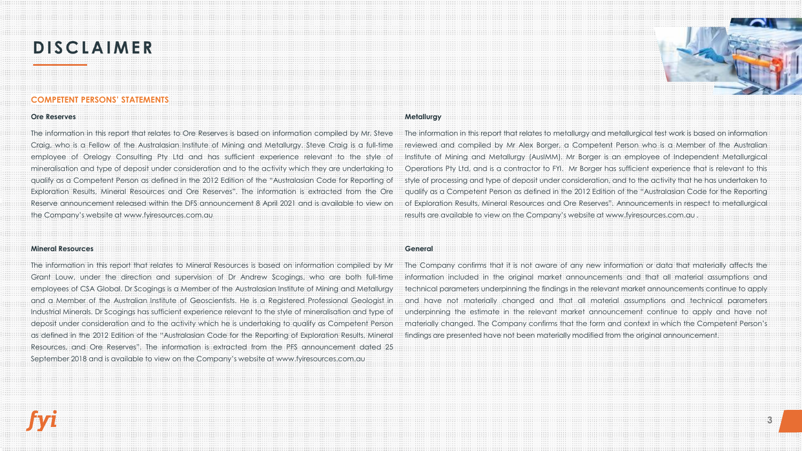### **DISCLAIMER**



#### **COMPETENT PERSONS' STATEMENTS**

#### **Ore Reserves**

The information in this report that relates to Ore Reserves is based on information compiled by Mr. Steve Craig, who is a Fellow of the Australasian Institute of Mining and Metallurgy. Steve Craig is a full-time employee of Orelogy Consulting Pty Ltd and has sufficient experience relevant to the style of mineralisation and type of deposit under consideration and to the activity which they are undertaking to qualify as a Competent Person as defined in the 2012 Edition of the "Australasian Code for Reporting of Exploration Results, Mineral Resources and Ore Reserves". The information is extracted from the Ore Reserve announcement released within the DFS announcement 8 April 2021 and is available to view on the Company's website at www.fyiresources.com.au

#### **Mineral Resources**

The information in this report that relates to Mineral Resources is based on information compiled by Mr Grant Louw, under the direction and supervision of Dr Andrew Scogings, who are both full-time employees of CSA Global. Dr Scogings is a Member of the Australasian Institute of Mining and Metallurgy and a Member of the Australian Institute of Geoscientists. He is a Registered Professional Geologist in Industrial Minerals. Dr Scogings has sufficient experience relevant to the style of mineralisation and type of deposit under consideration and to the activity which he is undertaking to qualify as Competent Person as defined in the 2012 Edition of the "Australasian Code for the Reporting of Exploration Results, Mineral Resources, and Ore Reserves". The information is extracted from the PFS announcement dated 25 September 2018 and is available to view on the Company's website at www.fyiresources.com.au

#### **Metallurgy**

The information in this report that relates to metallurgy and metallurgical test work is based on information reviewed and compiled by Mr Alex Borger, a Competent Person who is a Member of the Australian Institute of Mining and Metallurgy (AusIMM). Mr Borger is an employee of Independent Metallurgical Operations Pty Ltd, and is a contractor to FYI. Mr Borger has sufficient experience that is relevant to this style of processing and type of deposit under consideration, and to the activity that he has undertaken to qualify as a Competent Person as defined in the 2012 Edition of the "Australasian Code for the Reporting of Exploration Results, Mineral Resources and Ore Reserves". Announcements in respect to metallurgical results are available to view on the Company's website at www.fyiresources.com.au .

#### **General**

The Company confirms that it is not aware of any new information or data that materially affects the information included in the original market announcements and that all material assumptions and technical parameters underpinning the findings in the relevant market announcements continue to apply and have not materially changed and that all material assumptions and technical parameters underpinning the estimate in the relevant market announcement continue to apply and have not materially changed. The Company confirms that the form and context in which the Competent Person's findings are presented have not been materially modified from the original announcement.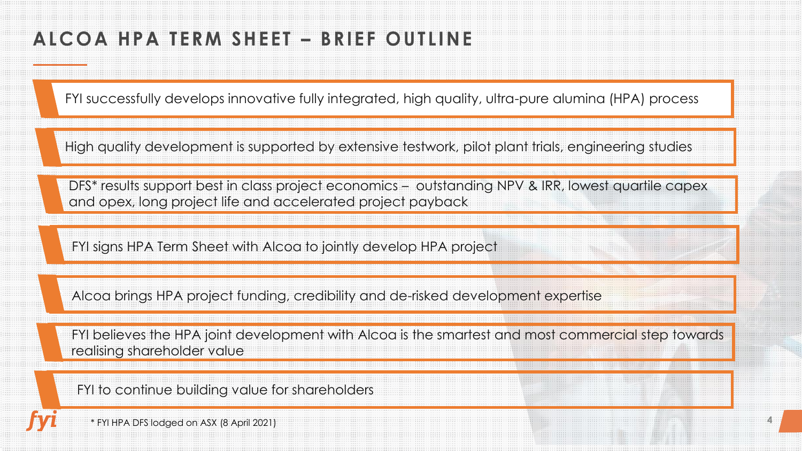## ALCOA HPA TERM SHEET - BRIEF OUTLINE

FYI successfully develops innovative fully integrated, high quality, ultra-pure alumina (HPA) process

High quality development is supported by extensive testwork, pilot plant trials, engineering studies

DFS\* results support best in class project economics – outstanding NPV & IRR, lowest quartile capex and opex, long project life and accelerated project payback

FYI signs HPA Term Sheet with Alcoa to jointly develop HPA project

Alcoa brings HPA project funding, credibility and de-risked development expertise

FYI believes the HPA joint development with Alcoa is the smartest and most commercial step towards realising shareholder value

FYI to continue building value for shareholders

\* FYI HPA DFS lodged on ASX (8 April 2021)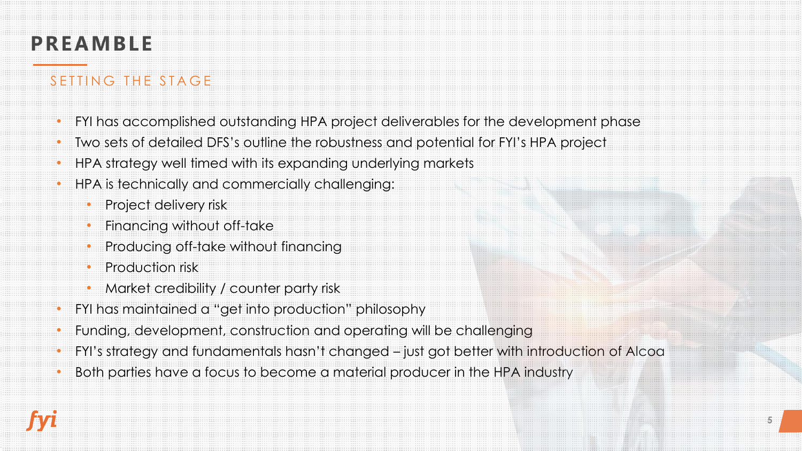## **PREAMBLE**

### SETTING THE STAGE

- FYI has accomplished outstanding HPA project deliverables for the development phase
- Two sets of detailed DFS's outline the robustness and potential for FYI's HPA project
- HPA strategy well timed with its expanding underlying markets
- HPA is technically and commercially challenging:
	- Project delivery risk
	- Financing without off-take
	- Producing off-take without financing
	- Production risk
	- Market credibility / counter party risk
- FYI has maintained a "get into production" philosophy
- Funding, development, construction and operating will be challenging
- FYI's strategy and fundamentals hasn't changed just got better with introduction of Alcoa
- Both parties have a focus to become a material producer in the HPA industry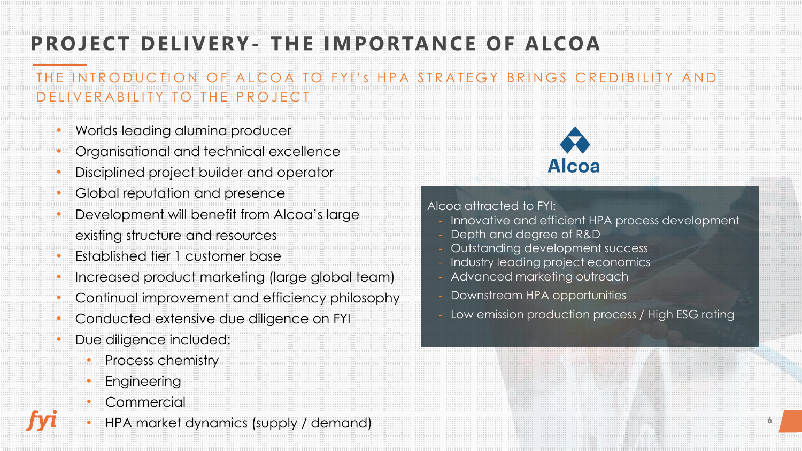## **PROJECT DELIVERY- THE IMPORTANCE OF ALCOA**

### THE INTRODUCTION OF ALCOA TO FYI'S HPA STRATEGY BRINGS CREDIBILITY AND D ELIVER A BILITY TO THE PROJECT

- Worlds leading alumina producer
- Organisational and technical excellence
- Disciplined project builder and operator
- Global reputation and presence
- Development will benefit from Alcoa's large existing structure and resources
- Established tier 1 customer base
- Increased product marketing (large global team)
- Continual improvement and efficiency philosophy
- Conducted extensive due diligence on FYI
- Due diligence included:
	- Process chemistry
	- **Engineering**
	- **Commercial**
- HPA market dynamics (supply / demand)



#### Alcoa attracted to FYI:

- Innovative and efficient HPA process development
- Depth and degree of R&D
- Outstanding development success
- Industry leading project economics
- Advanced marketing outreach
- Downstream HPA opportunities
- Low emission production process / High ESG rating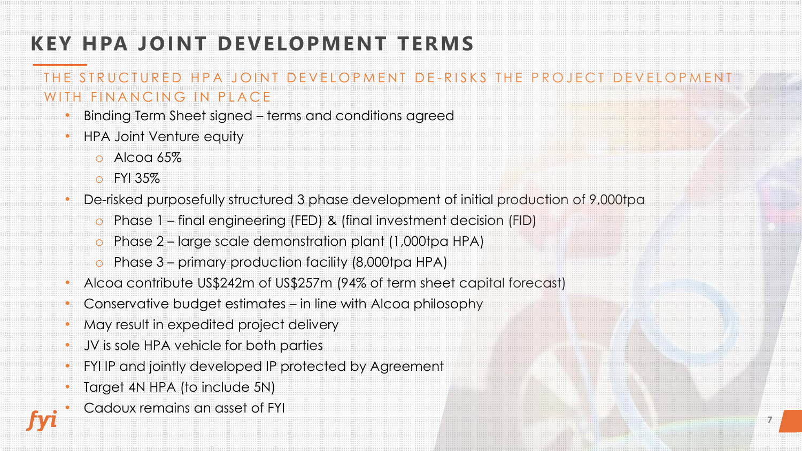## **KEY HPA JOINT DEVELOPMENT TERMS**

### THE STRUCTURED HPA JOINT DEVELOPMENT DE-RISKS THE PROJECT DEVELOPMENT WITH FINANCING IN PLACE

- Binding Term Sheet signed terms and conditions agreed
- HPA Joint Venture equity
	- $O$  Alcog 65%
	- o FYI 35%
- De-risked purposefully structured 3 phase development of initial production of 9,000tpa
	- o Phase 1 final engineering (FED) & (final investment decision (FID)
	- o Phase 2 large scale demonstration plant (1,000tpa HPA)
	- o Phase 3 primary production facility (8,000tpa HPA)
- Alcoa contribute US\$242m of US\$257m (94% of term sheet capital forecast)
- Conservative budget estimates in line with Alcoa philosophy
- May result in expedited project delivery
- JV is sole HPA vehicle for both parties
- FYI IP and jointly developed IP protected by Agreement
- Target 4N HPA (to include 5N)
- Cadoux remains an asset of FYI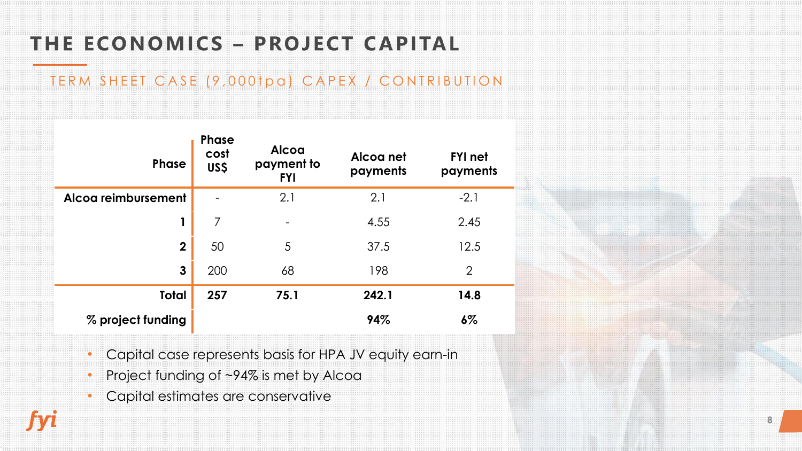## THE ECONOMICS - PROJECT CAPITAL

### TERM SHEET CASE (9,000tpa) CAPEX / CONTRIBUTION

| <b>Phase</b>        | <b>Phase</b><br>cost<br>US\$ | Alcoa<br>payment to<br><b>FYI</b> | Alcog net<br>payments | <b>FYI</b> net<br>payments |
|---------------------|------------------------------|-----------------------------------|-----------------------|----------------------------|
| Alcog reimbursement |                              | 2.1                               | 2.1                   | $-2.1$                     |
|                     | $\overline{7}$               | -                                 | 4.55                  | 2.45                       |
| $\mathbf 2$         | 50                           | 5                                 | 37.5                  | 12.5                       |
| 3                   | 200                          | 68                                | 198                   | $\overline{2}$             |
| <b>Total</b>        | 257                          | 75.1                              | 242.1                 | 14.8                       |
| % project funding   |                              |                                   | 94%                   | $6\%$                      |

- Capital case represents basis for HPA JV equity earn-in
- Project funding of ~94% is met by Alcoa
- Capital estimates are conservative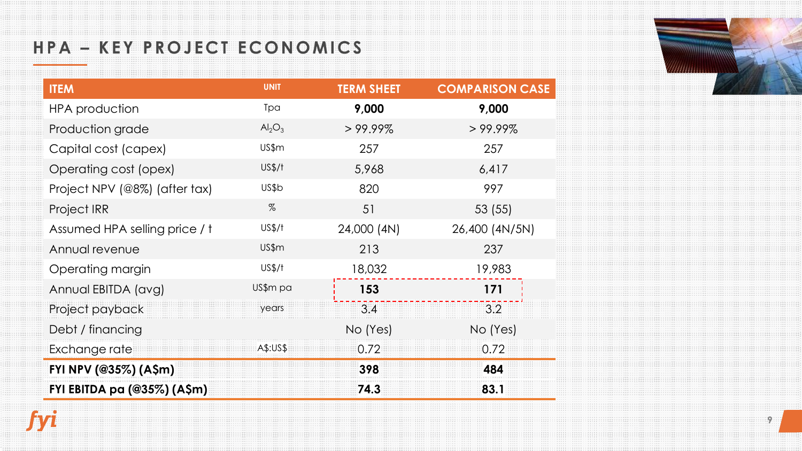### HPA - KEY PROJECT ECONOMICS

fyi



| <b>ITEM</b>                   | <b>UNIT</b>                    | <b>TERM SHEET</b> | <b>COMPARISON CASE</b> |
|-------------------------------|--------------------------------|-------------------|------------------------|
| <b>HPA</b> production         | Tpa                            | 9,000             | 9,000                  |
| Production grade              | Al <sub>2</sub> O <sub>3</sub> | $>99.99\%$        | $>99.99\%$             |
| Capital cost (capex)          | US\$m                          | 257               | 257                    |
| Operating cost (opex)         | US\$/f                         | 5,968             | 6,417                  |
| Project NPV (@8%) (after tax) | US\$b                          | 820               | 997                    |
| <b>Project IRR</b>            | %                              | 51                | 53 (55)                |
| Assumed HPA selling price / t | US\$/f                         | 24,000 (4N)       | 26,400 (4N/5N)         |
| Annual revenue                | US\$m                          | 213               | 237                    |
| Operating margin              | US\$/f                         | 18,032            | 19,983                 |
| Annual EBITDA (avg)           | US\$m pa                       | 153               | 171                    |
| Project payback               | years                          | 3.4               | 3.2                    |
| Debt / financing              |                                | No (Yes)          | No (Yes)               |
| Exchange rate                 | A\$:US\$                       | 0.72              | 0.72                   |
| FYI NPV (@35%) (A\$m)         |                                | 398               | 484                    |
| FYI EBITDA pa (@35%) (A\$m)   |                                | 74.3              | 83.1                   |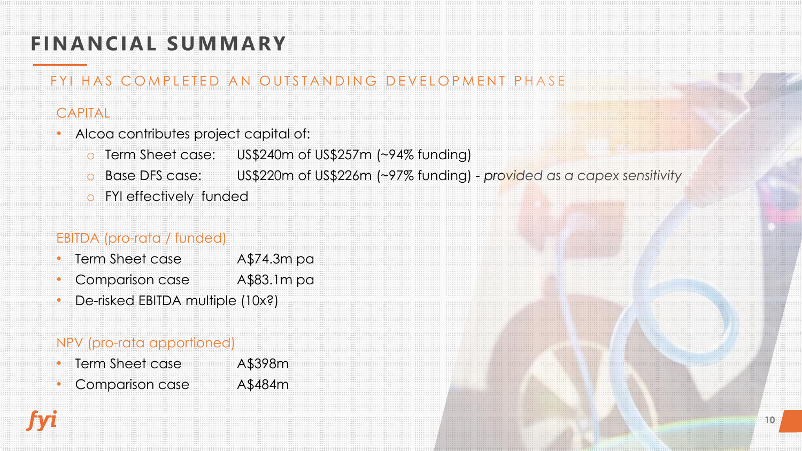## **FINANCIAL SUMMARY**

### FYI HAS COMPLETED AN OUTSTANDING DEVELOPMENT PHASE

### CAPITAL

- Alcoa contributes project capital of:
	- o Term Sheet case: US\$240m of US\$257m (~94% funding)
	- o Base DFS case: US\$220m of US\$226m (~97% funding) *- provided as a capex sensitivity*
	- o FYI effectively funded

### EBITDA (pro-rata / funded)

- Term Sheet case A\$74.3m pa
- Comparison case A\$83.1m pa
- De-risked EBITDA multiple (10x?)

### NPV (pro-rata apportioned)

- Term Sheet case A\$398m
- Comparison case A\$484m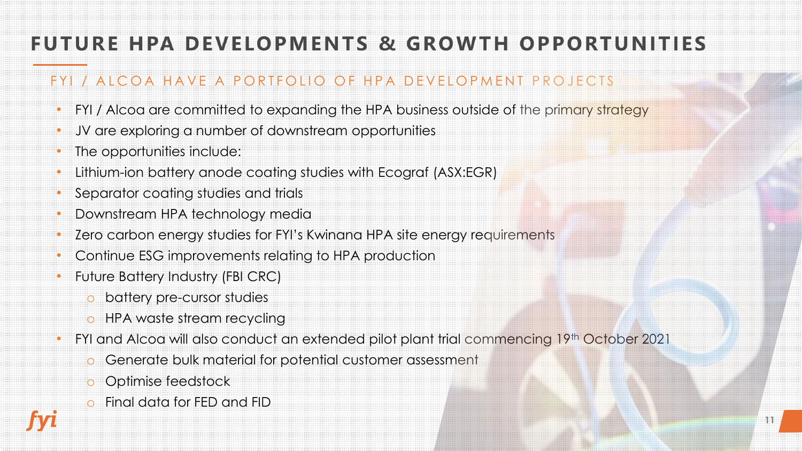## **FUTURE HPA DEVELOPMENTS & GROWTH OPPORTUNITIES**

### FYI / ALCOA HAVE A PORTFOLIO OF HPA DEVELOPMENT PROJECTS

- FYI / Alcoa are committed to expanding the HPA business outside of the primary strategy
- JV are exploring a number of downstream opportunities
- The opportunities include:
- Lithium-ion battery anode coating studies with Ecograf (ASX:EGR)
- Separator coating studies and trials
- Downstream HPA technology media
- Zero carbon energy studies for FYI's Kwinana HPA site energy requirements
- Continue ESG improvements relating to HPA production
- Future Battery Industry (FBI CRC)
	- o battery pre-cursor studies
	- o HPA waste stream recycling
- FYI and Alcoa will also conduct an extended pilot plant trial commencing 19th October 2021
	- Generate bulk material for potential customer assessment
	- o Optimise feedstock
	- o Final data for FED and FID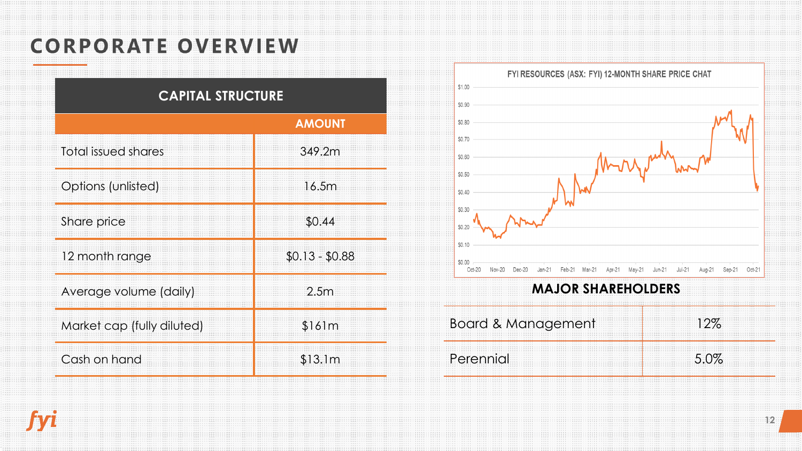## **CORPORATE OVERVIEW**

| <b>CAPITAL STRUCTURE</b>   |                 |  |  |  |
|----------------------------|-----------------|--|--|--|
|                            | <b>AMOUNT</b>   |  |  |  |
| Total issued shares        | 349.2m          |  |  |  |
| Options (unlisted)         | 16.5m           |  |  |  |
| Share price                | \$0.44          |  |  |  |
| 12 month range             | $$0.13 - $0.88$ |  |  |  |
| Average volume (daily)     | 2.5m            |  |  |  |
| Market cap (fully diluted) | \$161m          |  |  |  |
| Cash on hand               | \$13.1m         |  |  |  |



#### **MAJOR SHAREHOLDERS**

| <b>Board &amp; Management</b> |  |
|-------------------------------|--|
| Perennial                     |  |